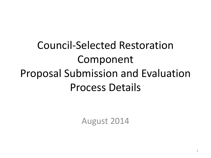## Council-Selected Restoration Component Proposal Submission and Evaluation Process Details

August 2014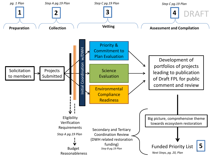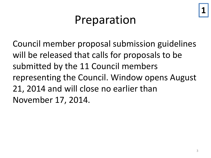# **1**

## Preparation

Council member proposal submission guidelines will be released that calls for proposals to be submitted by the 11 Council members representing the Council. Window opens August 21, 2014 and will close no earlier than November 17, 2014.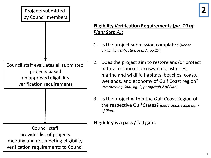#### Projects submitted **2** by Council members

Council staff evaluates all submitted

projects based

on approved eligibility

verification requirements

### **Eligibility Verification Requirements (***pg. 19 of Plan; Step A)***:**

- 1. Is the project submission complete? (*under Eligibility verification Step A, pg.19*)
- 2. Does the project aim to restore and/or protect natural resources, ecosystems, fisheries, marine and wildlife habitats, beaches, coastal wetlands, and economy of Gulf Coast region? (*overarching Goal, pg. 2, paragraph 2 of Plan*)
- 3. Is the project within the Gulf Coast Region of the respective Gulf States? *(geographic scope pg. 7 of Plan)*

### **Eligibility is a pass / fail gate.**

Council staff provides list of projects meeting and not meeting eligibility verification requirements to Council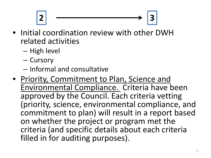2  $\rightarrow$  3

- Initial coordination review with other DWH related activities
	- High level
	- Cursory
	- Informal and consultative
- Priority, Commitment to Plan, Science and Environmental Compliance. Criteria have been approved by the Council. Each criteria vetting (priority, science, environmental compliance, and commitment to plan) will result in a report based on whether the project or program met the criteria (and specific details about each criteria filled in for auditing purposes).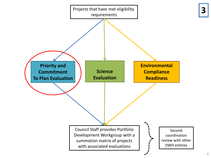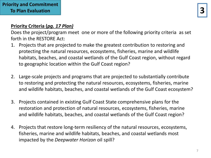#### **Priority Criteria (***pg. 17 Plan)*

Does the project/program meet one or more of the following priority criteria as set forth in the RESTORE Act:

- 1. Projects that are projected to make the greatest contribution to restoring and protecting the natural resources, ecosystems, fisheries, marine and wildlife habitats, beaches, and coastal wetlands of the Gulf Coast region, without regard to geographic location within the Gulf Coast region?
- 2. Large-scale projects and programs that are projected to substantially contribute to restoring and protecting the natural resources, ecosystems, fisheries, marine and wildlife habitats, beaches, and coastal wetlands of the Gulf Coast ecosystem?
- 3. Projects contained in existing Gulf Coast State comprehensive plans for the restoration and protection of natural resources, ecosystems, fisheries, marine and wildlife habitats, beaches, and coastal wetlands of the Gulf Coast region?
- 4. Projects that restore long-term resiliency of the natural resources, ecosystems, fisheries, marine and wildlife habitats, beaches, and coastal wetlands most impacted by the *Deepwater Horizon* oil spill?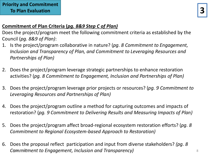#### **Commitment of Plan Criteria (***pg. 8&9 Step C of Plan)*

Does the project/program meet the following commitment criteria as established by the Council (*pg. 8&9 of Plan)*:

- 1. Is the project/program collaborative in nature? (*pg. 8 Commitment to Engagement, Inclusion and Transparency of Plan, and Commitment to Leveraging Resources and Partnerships of Plan)*
- 2. Does the project/program leverage strategic partnerships to enhance restoration activities? (*pg. 8 Commitment to Engagement, Inclusion and Partnerships of Plan)*
- 3. Does the project/program leverage prior projects or resources? (*pg. 9 Commitment to Leveraging Resources and Partnerships of Plan)*
- 4. Does the project/program outline a method for capturing outcomes and impacts of restoration? (*pg. 9 Commitment to Delivering Results and Measuring Impacts of Plan)*
- 5. Does the project/program affect broad-regional ecosystem restoration efforts? (*pg. 8 Commitment to Regional Ecosystem-based Approach to Restoration)*
- 6. Does the proposal reflect participation and input from diverse stakeholders? *(pg. 8*  Commitment to Engagement, Inclusion and Transparency) **Research 20 Magazines (Commitment** to Engagement, 10 Mag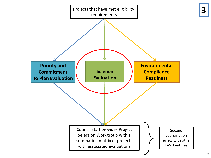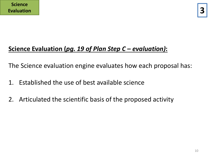## **Science Evaluation (***pg. 19 of Plan Step C – evaluation)***:**

The Science evaluation engine evaluates how each proposal has:

- 1. Established the use of best available science
- 2. Articulated the scientific basis of the proposed activity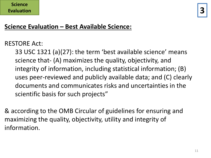## **Science Evaluation – Best Available Science:**

RESTORE Act:

33 USC 1321 (a)(27): the term 'best available science' means science that- (A) maximizes the quality, objectivity, and integrity of information, including statistical information; (B) uses peer-reviewed and publicly available data; and (C) clearly documents and communicates risks and uncertainties in the scientific basis for such projects"

& according to the OMB Circular of guidelines for ensuring and maximizing the quality, objectivity, utility and integrity of information.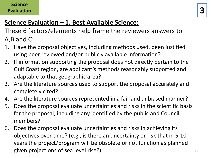#### **Science Evaluation**

## **Science Evaluation – 1. Best Available Science:**

These 6 factors/elements help frame the reviewers answers to A,B and C:

- 1. Have the proposal objectives, including methods used, been justified using peer reviewed and/or publicly available information?
- 2. If information supporting the proposal does not directly pertain to the Gulf Coast region, are applicant's methods reasonably supported and adaptable to that geographic area?
- 3. Are the literature sources used to support the proposal accurately and completely cited?
- 4. Are the literature sources represented in a fair and unbiased manner?
- 5. Does the proposal evaluate uncertainties and risks in the scientific basis for the proposal, including any identified by the public and Council members?
- 6. Does the proposal evaluate uncertainties and risks in achieving its objectives over time? (e.g., is there an uncertainty or risk that in 5-10 years the project/program will be obsolete or not function as planned given projections of sea level rise?)  $12$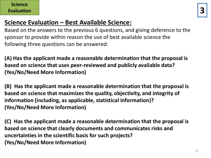### **Science Evaluation – Best Available Science:**

Based on the answers to the previous 6 questions, and giving deference to the sponsor to provide within reason the use of best available science the following three questions can be answered:

**(A) Has the applicant made a reasonable determination that the proposal is based on science that uses peer-reviewed and publicly available data? (Yes/No/Need More Information)**

**(B) Has the applicant made a reasonable determination that the proposal is based on science that maximizes the quality, objectivity, and integrity of information (including, as applicable, statistical information)? (Yes/No/Need More Information)**

**(C) Has the applicant made a reasonable determination that the proposal is based on science that clearly documents and communicates risks and uncertainties in the scientific basis for such projects? (Yes/No/Need More Information)**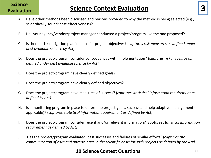## **Science**

## **Evaluation Science Context Evaluation**

- A. Have other methods been discussed and reasons provided to why the method is being selected (e.g., scientifically sound; cost-effectiveness)?
- B. Has your agency/vendor/project manager conducted a project/program like the one proposed?
- C. Is there a risk mitigation plan in place for project objectives? (*captures risk measures as defined under best available science by Act)*
- D. Does the project/program consider consequences with implementation? (*captures risk measures as defined under best available science by Act)*
- E. Does the project/program have clearly defined goals?
- F. Does the project/program have clearly defined objectives?
- G. Does the project/program have measures of success? (*captures statistical information requirement as defined by Act)*
- H. Is a monitoring program in place to determine project goals, success and help adaptive management (if applicable)? (*captures statistical information requirement as defined by Act)*
- I. Does the project/program consider recent and/or relevant information? (*captures statistical information requirement as defined by Act)*
- J. Has the project/program evaluated past successes and failures of similar efforts? (*captures the communication of risks and uncertainties in the scientific basis for such projects as defined by the Act)*

#### **10 Science Context Questions**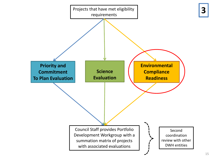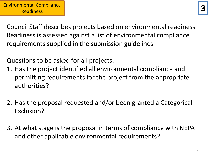Council Staff describes projects based on environmental readiness. Readiness is assessed against a list of environmental compliance requirements supplied in the submission guidelines.

Questions to be asked for all projects:

- 1. Has the project identified all environmental compliance and permitting requirements for the project from the appropriate authorities?
- 2. Has the proposal requested and/or been granted a Categorical Exclusion?
- 3. At what stage is the proposal in terms of compliance with NEPA and other applicable environmental requirements?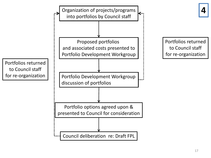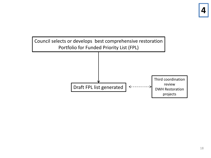